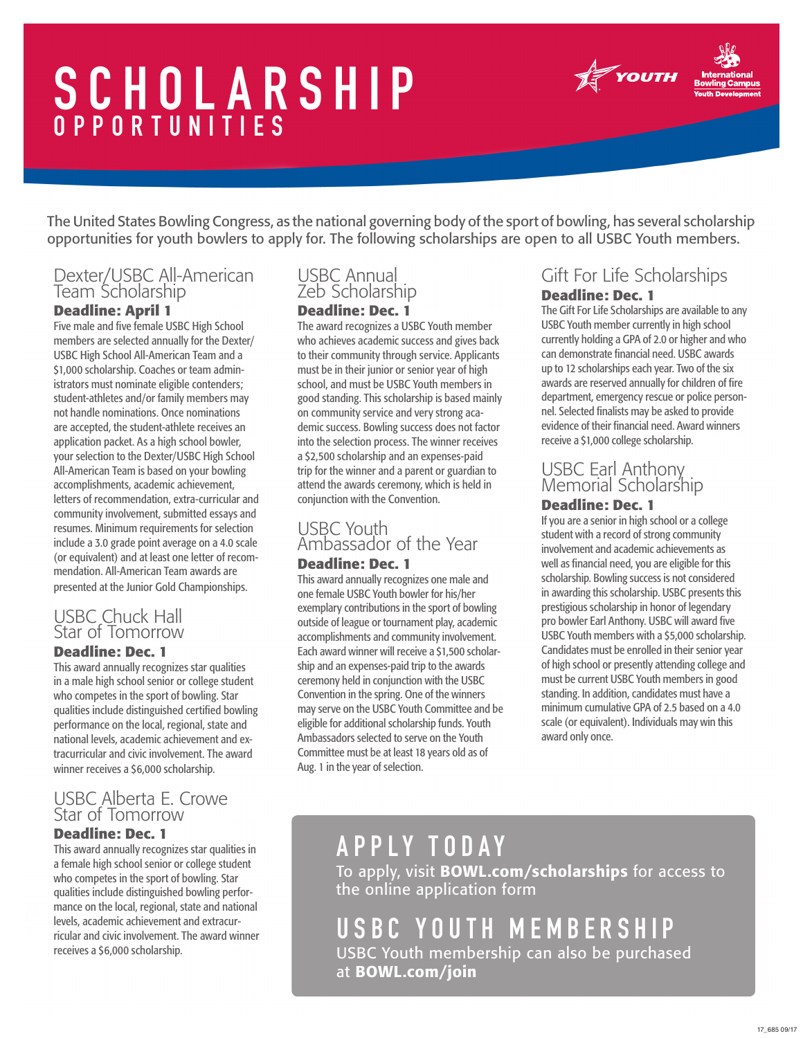# SCHOLARSHIP OPPORTUNITIES



The United States Bowling Congress, as the national governing body of the sport of bowling, has several scholarship opportunities for youth bowlers to apply for. The following scholarships are open to all USBC Youth members.

## Dexter/USBC All-American Team Scholarship

#### **Deadline: April 1**

Five male and five female USBC High School members are selected annually for the Dexter/ USBC High School All-American Team and a \$1,000 scholarship. Coaches or team administrators must nominate eligible contenders; student-athletes and/or family members may not handle nominations. Once nominations are accepted, the student-athlete receives an application packet. As a high school bowler, your selection to the Dexter/USBC High School All-American Team is based on your bowling accomplishments, academic achievement, letters of recommendation, extra-curricular and community involvement, submitted essays and resumes. Minimum requirements for selection include a 3.0 grade point average on a 4.0 scale (or equivalent) and at least one letter of recommendation. All-American Team awards are presented at the Junior Gold Championships.

### USBC Chuck Hall Star of Tomorrow

#### **Deadline: Dec. 1**

This award annually recognizes star qualities in a male high school senior or college student who competes in the sport of bowling. Star qualities include distinguished certified bowling performance on the local, regional, state and national levels, academic achievement and extracurricular and civic involvement. The award winner receives a \$6,000 scholarship.

### USBC Alberta E. Crowe Star of Tomorrow

#### **Deadline: Dec. 1**

This award annually recognizes star qualities in a female high school senior or college student who competes in the sport of bowling. Star qualities include distinguished bowling performance on the local, regional, state and national levels, academic achievement and extracurricular and civic involvement. The award winner receives a \$6,000 scholarship.

### USBC Annual Zeb Scholarship

#### **Deadline: Dec. 1**

The award recognizes a USBC Youth member who achieves academic success and gives back to their community through service. Applicants must be in their junior or senior year of high school, and must be USBC Youth members in good standing. This scholarship is based mainly on community service and very strong academic success. Bowling success does not factor into the selection process. The winner receives a \$2,500 scholarship and an expenses-paid trip for the winner and a parent or guardian to attend the awards ceremony, which is held in conjunction with the Convention.

## USBC Youth Ambassador of the Year

#### **Deadline: Dec. 1**

This award annually recognizes one male and one female USBC Youth bowler for his/her exemplary contributions in the sport of bowling outside of league or tournament play, academic accomplishments and community involvement. Each award winner will receive a \$1,500 scholarship and an expenses-paid trip to the awards ceremony held in conjunction with the USBC Convention in the spring. One of the winners may serve on the USBC Youth Committee and be eligible for additional scholarship funds. Youth Ambassadors selected to serve on the Youth Committee must be at least 18 years old as of Aug. 1 in the year of selection.

### Gift For Life Scholarships **Deadline: Dec. 1**

The Gift For Life Scholarships are available to any USBC Youth member currently in high school currently holding a GPA of 2.0 or higher and who can demonstrate financial need. USBC awards up to 12 scholarships each year. Two of the six awards are reserved annually for children of fire department, emergency rescue or police personnel. Selected finalists may be asked to provide evidence of their financial need. Award winners receive a \$1,000 college scholarship.

### USBC Earl Anthony Memorial Scholarship

#### **Deadline: Dec. 1**

If you are a senior in high school or a college student with a record of strong community involvement and academic achievements as well as financial need, you are eligible for this scholarship. Bowling success is not considered in awarding this scholarship. USBC presents this prestigious scholarship in honor of legendary pro bowler Earl Anthony. USBC will award five USBC Youth members with a \$5,000 scholarship. Candidates must be enrolled in their senior year of high school or presently attending college and must be current USBC Youth members in good standing. In addition, candidates must have a minimum cumulative GPA of 2.5 based on a 4.0 scale (or equivalent). Individuals may win this award only once.

## APPLY TODAY

To apply, visit BOWL.com/scholarships for access to the online application form

USBC Youth membership can also be purchased at BOWL.com/join USBC YOUTH MEMBERSHIP